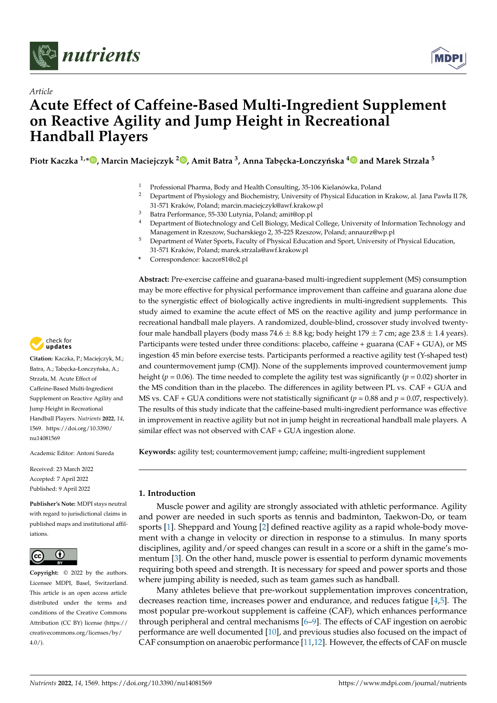



# *Article* **Acute Effect of Caffeine-Based Multi-Ingredient Supplement on Reactive Agility and Jump Height in Recreational Handball Players**

**Piotr Kaczka 1,[\\*](https://orcid.org/0000-0002-1730-6335) , Marcin Maciejczyk <sup>2</sup> [,](https://orcid.org/0000-0002-9505-4081) Amit Batra <sup>3</sup> , Anna Tab ˛ecka-Łonczy ´nska [4](https://orcid.org/0000-0002-4000-751X) and Marek Strzała <sup>5</sup>**

- <sup>1</sup> Professional Pharma, Body and Health Consulting, 35-106 Kielanówka, Poland
- <sup>2</sup> Department of Physiology and Biochemistry, University of Physical Education in Krakow, al. Jana Pawła II 78, 31-571 Kraków, Poland; marcin.maciejczyk@awf.krakow.pl
- <sup>3</sup> Batra Performance, 55-330 Lutynia, Poland; amit@op.pl
- <sup>4</sup> Department of Biotechnology and Cell Biology, Medical College, University of Information Technology and Management in Rzeszow, Sucharskiego 2, 35-225 Rzeszow, Poland; annaurz@wp.pl
- <sup>5</sup> Department of Water Sports, Faculty of Physical Education and Sport, University of Physical Education, 31-571 Kraków, Poland; marek.strzala@awf.krakow.pl
- **\*** Correspondence: kaczor81@o2.pl

**Abstract:** Pre-exercise caffeine and guarana-based multi-ingredient supplement (MS) consumption may be more effective for physical performance improvement than caffeine and guarana alone due to the synergistic effect of biologically active ingredients in multi-ingredient supplements. This study aimed to examine the acute effect of MS on the reactive agility and jump performance in recreational handball male players. A randomized, double-blind, crossover study involved twentyfour male handball players (body mass 74.6  $\pm$  8.8 kg; body height 179  $\pm$  7 cm; age 23.8  $\pm$  1.4 years). Participants were tested under three conditions: placebo, caffeine + guarana (CAF + GUA), or MS ingestion 45 min before exercise tests. Participants performed a reactive agility test (Y-shaped test) and countermovement jump (CMJ). None of the supplements improved countermovement jump height ( $p = 0.06$ ). The time needed to complete the agility test was significantly ( $p = 0.02$ ) shorter in the MS condition than in the placebo. The differences in agility between PL vs. CAF + GUA and MS vs. CAF + GUA conditions were not statistically significant ( $p = 0.88$  and  $p = 0.07$ , respectively). The results of this study indicate that the caffeine-based multi-ingredient performance was effective in improvement in reactive agility but not in jump height in recreational handball male players. A similar effect was not observed with CAF + GUA ingestion alone.

**Keywords:** agility test; countermovement jump; caffeine; multi-ingredient supplement

## **1. Introduction**

Muscle power and agility are strongly associated with athletic performance. Agility and power are needed in such sports as tennis and badminton, Taekwon-Do, or team sports [\[1\]](#page-5-0). Sheppard and Young [\[2\]](#page-5-1) defined reactive agility as a rapid whole-body movement with a change in velocity or direction in response to a stimulus. In many sports disciplines, agility and/or speed changes can result in a score or a shift in the game's momentum [\[3\]](#page-5-2). On the other hand, muscle power is essential to perform dynamic movements requiring both speed and strength. It is necessary for speed and power sports and those where jumping ability is needed, such as team games such as handball.

Many athletes believe that pre-workout supplementation improves concentration, decreases reaction time, increases power and endurance, and reduces fatigue [\[4](#page-5-3)[,5\]](#page-5-4). The most popular pre-workout supplement is caffeine (CAF), which enhances performance through peripheral and central mechanisms [\[6](#page-5-5)[–9\]](#page-6-0). The effects of CAF ingestion on aerobic performance are well documented [\[10\]](#page-6-1), and previous studies also focused on the impact of CAF consumption on anaerobic performance [\[11,](#page-6-2)[12\]](#page-6-3). However, the effects of CAF on muscle



**Citation:** Kaczka, P.; Maciejczyk, M.; Batra, A.; Tabecka-Łonczyńska, A.; Strzała, M. Acute Effect of Caffeine-Based Multi-Ingredient Supplement on Reactive Agility and Jump Height in Recreational Handball Players. *Nutrients* **2022**, *14*, 1569. [https://doi.org/10.3390/](https://doi.org/10.3390/nu14081569) [nu14081569](https://doi.org/10.3390/nu14081569)

Academic Editor: Antoni Sureda

Received: 23 March 2022 Accepted: 7 April 2022 Published: 9 April 2022

**Publisher's Note:** MDPI stays neutral with regard to jurisdictional claims in published maps and institutional affiliations.



**Copyright:** © 2022 by the authors. Licensee MDPI, Basel, Switzerland. This article is an open access article distributed under the terms and conditions of the Creative Commons Attribution (CC BY) license [\(https://](https://creativecommons.org/licenses/by/4.0/) [creativecommons.org/licenses/by/](https://creativecommons.org/licenses/by/4.0/)  $4.0/$ ).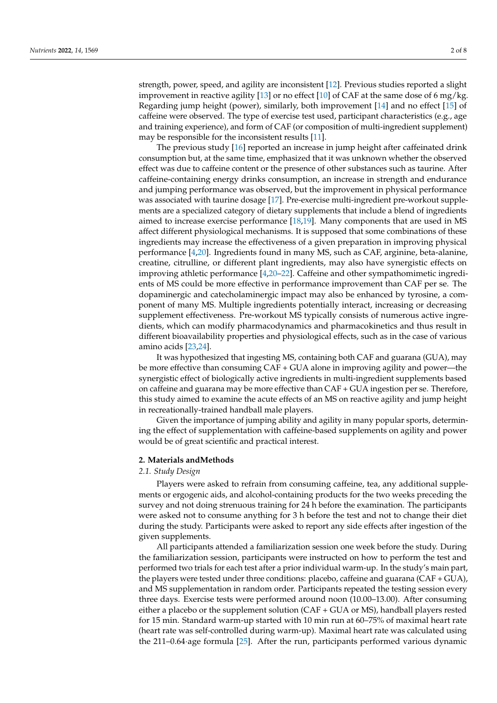strength, power, speed, and agility are inconsistent [\[12\]](#page-6-3). Previous studies reported a slight improvement in reactive agility [\[13\]](#page-6-4) or no effect [\[10\]](#page-6-1) of CAF at the same dose of 6 mg/kg. Regarding jump height (power), similarly, both improvement [\[14\]](#page-6-5) and no effect [\[15\]](#page-6-6) of caffeine were observed. The type of exercise test used, participant characteristics (e.g., age and training experience), and form of CAF (or composition of multi-ingredient supplement) may be responsible for the inconsistent results [\[11\]](#page-6-2).

The previous study [\[16\]](#page-6-7) reported an increase in jump height after caffeinated drink consumption but, at the same time, emphasized that it was unknown whether the observed effect was due to caffeine content or the presence of other substances such as taurine. After caffeine-containing energy drinks consumption, an increase in strength and endurance and jumping performance was observed, but the improvement in physical performance was associated with taurine dosage [\[17\]](#page-6-8). Pre-exercise multi-ingredient pre-workout supplements are a specialized category of dietary supplements that include a blend of ingredients aimed to increase exercise performance [\[18,](#page-6-9)[19\]](#page-6-10). Many components that are used in MS affect different physiological mechanisms. It is supposed that some combinations of these ingredients may increase the effectiveness of a given preparation in improving physical performance [\[4](#page-5-3)[,20\]](#page-6-11). Ingredients found in many MS, such as CAF, arginine, beta-alanine, creatine, citrulline, or different plant ingredients, may also have synergistic effects on improving athletic performance [\[4,](#page-5-3)[20](#page-6-11)[–22\]](#page-6-12). Caffeine and other sympathomimetic ingredients of MS could be more effective in performance improvement than CAF per se. The dopaminergic and catecholaminergic impact may also be enhanced by tyrosine, a component of many MS. Multiple ingredients potentially interact, increasing or decreasing supplement effectiveness. Pre-workout MS typically consists of numerous active ingredients, which can modify pharmacodynamics and pharmacokinetics and thus result in different bioavailability properties and physiological effects, such as in the case of various amino acids [\[23,](#page-6-13)[24\]](#page-6-14).

It was hypothesized that ingesting MS, containing both CAF and guarana (GUA), may be more effective than consuming CAF + GUA alone in improving agility and power—the synergistic effect of biologically active ingredients in multi-ingredient supplements based on caffeine and guarana may be more effective than CAF + GUA ingestion per se. Therefore, this study aimed to examine the acute effects of an MS on reactive agility and jump height in recreationally-trained handball male players.

Given the importance of jumping ability and agility in many popular sports, determining the effect of supplementation with caffeine-based supplements on agility and power would be of great scientific and practical interest.

#### **2. Materials andMethods**

#### *2.1. Study Design*

Players were asked to refrain from consuming caffeine, tea, any additional supplements or ergogenic aids, and alcohol-containing products for the two weeks preceding the survey and not doing strenuous training for 24 h before the examination. The participants were asked not to consume anything for 3 h before the test and not to change their diet during the study. Participants were asked to report any side effects after ingestion of the given supplements.

All participants attended a familiarization session one week before the study. During the familiarization session, participants were instructed on how to perform the test and performed two trials for each test after a prior individual warm-up. In the study's main part, the players were tested under three conditions: placebo, caffeine and guarana (CAF + GUA), and MS supplementation in random order. Participants repeated the testing session every three days. Exercise tests were performed around noon (10.00–13.00). After consuming either a placebo or the supplement solution (CAF + GUA or MS), handball players rested for 15 min. Standard warm-up started with 10 min run at 60–75% of maximal heart rate (heart rate was self-controlled during warm-up). Maximal heart rate was calculated using the 211–0.64·age formula [\[25\]](#page-6-15). After the run, participants performed various dynamic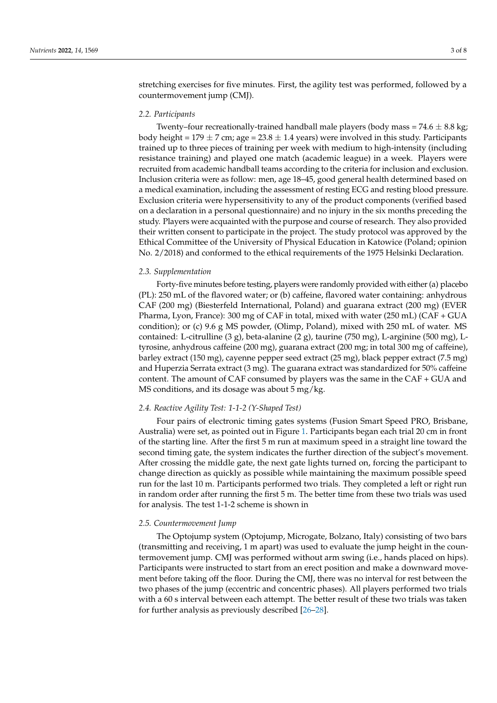stretching exercises for five minutes. First, the agility test was performed, followed by a countermovement jump (CMJ).

#### *2.2. Participants*

Twenty–four recreationally-trained handball male players (body mass =  $74.6 \pm 8.8$  kg; body height = 179  $\pm$  7 cm; age = 23.8  $\pm$  1.4 years) were involved in this study. Participants trained up to three pieces of training per week with medium to high-intensity (including resistance training) and played one match (academic league) in a week. Players were recruited from academic handball teams according to the criteria for inclusion and exclusion. Inclusion criteria were as follow: men, age 18–45, good general health determined based on a medical examination, including the assessment of resting ECG and resting blood pressure. Exclusion criteria were hypersensitivity to any of the product components (verified based on a declaration in a personal questionnaire) and no injury in the six months preceding the study. Players were acquainted with the purpose and course of research. They also provided their written consent to participate in the project. The study protocol was approved by the Ethical Committee of the University of Physical Education in Katowice (Poland; opinion No. 2/2018) and conformed to the ethical requirements of the 1975 Helsinki Declaration.

#### *2.3. Supplementation*

Forty-five minutes before testing, players were randomly provided with either(a) placebo (PL): 250 mL of the flavored water; or (b) caffeine, flavored water containing: anhydrous CAF (200 mg) (Biesterfeld International, Poland) and guarana extract (200 mg) (EVER Pharma, Lyon, France): 300 mg of CAF in total, mixed with water (250 mL) (CAF + GUA condition); or (c) 9.6 g MS powder, (Olimp, Poland), mixed with 250 mL of water. MS contained: L-citrulline (3 g), beta-alanine (2 g), taurine (750 mg), L-arginine (500 mg), Ltyrosine, anhydrous caffeine (200 mg), guarana extract (200 mg; in total 300 mg of caffeine), barley extract (150 mg), cayenne pepper seed extract (25 mg), black pepper extract (7.5 mg) and Huperzia Serrata extract (3 mg). The guarana extract was standardized for 50% caffeine content. The amount of CAF consumed by players was the same in the CAF + GUA and MS conditions, and its dosage was about 5 mg/kg.

## *2.4. Reactive Agility Test: 1-1-2 (Y-Shaped Test)*

Four pairs of electronic timing gates systems (Fusion Smart Speed PRO, Brisbane, Australia) were set, as pointed out in Figure [1.](#page-3-0) Participants began each trial 20 cm in front of the starting line. After the first 5 m run at maximum speed in a straight line toward the second timing gate, the system indicates the further direction of the subject's movement. After crossing the middle gate, the next gate lights turned on, forcing the participant to change direction as quickly as possible while maintaining the maximum possible speed run for the last 10 m. Participants performed two trials. They completed a left or right run in random order after running the first 5 m. The better time from these two trials was used for analysis. The test 1-1-2 scheme is shown in

#### *2.5. Countermovement Jump*

The Optojump system (Optojump, Microgate, Bolzano, Italy) consisting of two bars (transmitting and receiving, 1 m apart) was used to evaluate the jump height in the countermovement jump. CMJ was performed without arm swing (i.e., hands placed on hips). Participants were instructed to start from an erect position and make a downward movement before taking off the floor. During the CMJ, there was no interval for rest between the two phases of the jump (eccentric and concentric phases). All players performed two trials with a 60 s interval between each attempt. The better result of these two trials was taken for further analysis as previously described [\[26–](#page-6-16)[28\]](#page-6-17).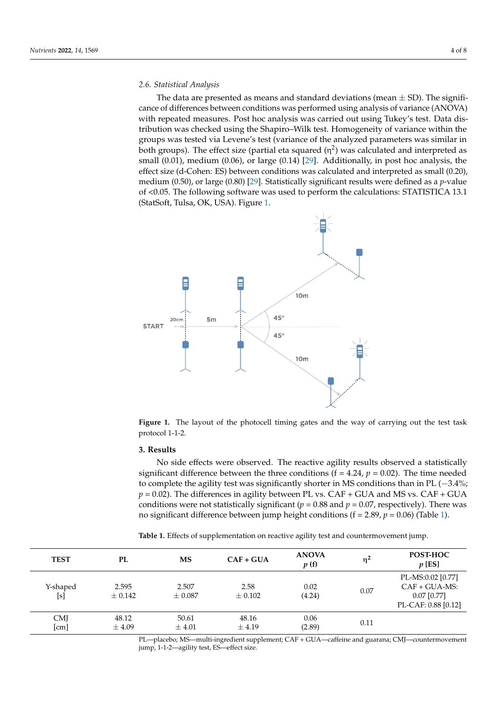#### *2.6. Statistical Analysis*

The data are presented as means and standard deviations (mean  $\pm$  SD). The significance of differences between conditions was performed using analysis of variance (ANOVA) with repeated measures. Post hoc analysis was carried out using Tukey's test. Data distribution was checked using the Shapiro–Wilk test. Homogeneity of variance within the groups was tested via Levene's test (variance of the analyzed parameters was similar in both groups). The effect size (partial eta squared ( $\eta^2$ ) was calculated and interpreted as small (0.01), medium (0.06), or large (0.14) [\[29\]](#page-6-18). Additionally, in post hoc analysis, the effect size (d-Cohen: ES) between conditions was calculated and interpreted as small (0.20), medium (0.50), or large (0.80) [\[29\]](#page-6-18). Statistically significant results were defined as a *p*-value of <0.05. The following software was used to perform the calculations: STATISTICA 13.1 (StatSoft, Tulsa, OK, USA). Figure [1.](#page-3-0)

<span id="page-3-0"></span>

**Figure 1.** The layout of the photocell timing gates and the way of carrying out the test task 1-1-2. protocol 1-1-2.

# *2.5. Countermovement Jump*  **3. Results**

No side effects were observed. The reactive agility results observed a statistically significant difference between the three conditions ( $f = 4.24$ ,  $p = 0.02$ ). The time needed to complete the agility test was significantly shorter in MS conditions than in PL (−3.4%;  $p = 0.02$ ). The differences in agility between PL vs. CAF + GUA and MS vs. CAF + GUA conditions were not statistically significant ( $p = 0.88$  and  $p = 0.07$ , respectively). There was no significant difference between jump height conditions (f = 2.89,  $p$  = 0.06) (Table [1\)](#page-3-1).

<span id="page-3-1"></span>trials with a 60 s interval between each attempt. The better result of these two trials was **Table 1.** Effects of supplementation on reactive agility test and countermovement jump.

| <b>TEST</b>        | PL                   | MS                   | $CAF + GUA$         | <b>ANOVA</b><br>p(f) | ηŕ   | POST-HOC<br>$p$ [ES]                                                        |
|--------------------|----------------------|----------------------|---------------------|----------------------|------|-----------------------------------------------------------------------------|
| Y-shaped<br>[s]    | 2.595<br>$\pm$ 0.142 | 2.507<br>$\pm 0.087$ | 2.58<br>$\pm$ 0.102 | 0.02<br>(4.24)       | 0.07 | PL-MS:0.02 [0.77]<br>$CAF + GUA-MS$<br>$0.07$ [0.77]<br>PL-CAF: 0.88 [0.12] |
| <b>CMJ</b><br>[cm] | 48.12<br>$\pm$ 4.09  | 50.61<br>$\pm 4.01$  | 48.16<br>$\pm$ 4.19 | 0.06<br>(2.89)       | 0.11 |                                                                             |

PL—placebo; MS—multi-ingredient supplement; CAF + GUA—caffeine and guarana; CMJ—countermovement jump, 1-1-2—agility test, ES—effect size.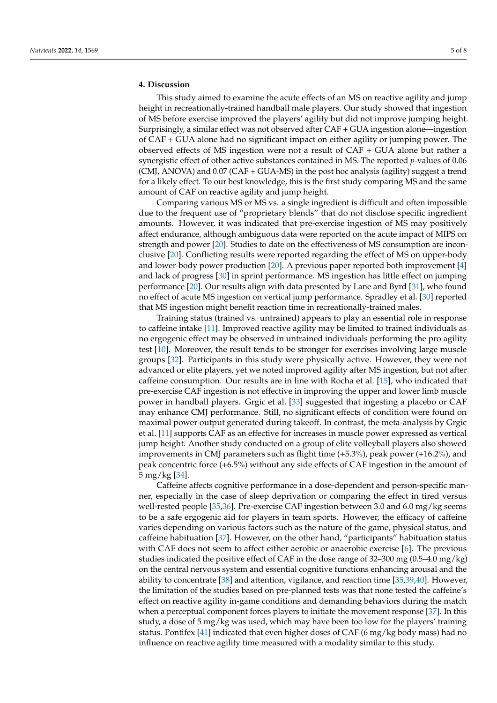### **4. Discussion**

This study aimed to examine the acute effects of an MS on reactive agility and jump height in recreationally-trained handball male players. Our study showed that ingestion of MS before exercise improved the players' agility but did not improve jumping height. Surprisingly, a similar effect was not observed after CAF + GUA ingestion alone—ingestion of CAF + GUA alone had no significant impact on either agility or jumping power. The observed effects of MS ingestion were not a result of CAF + GUA alone but rather a synergistic effect of other active substances contained in MS. The reported *p*-values of 0.06 (CMJ, ANOVA) and 0.07 (CAF + GUA-MS) in the post hoc analysis (agility) suggest a trend for a likely effect. To our best knowledge, this is the first study comparing MS and the same amount of CAF on reactive agility and jump height.

Comparing various MS or MS vs. a single ingredient is difficult and often impossible due to the frequent use of "proprietary blends" that do not disclose specific ingredient amounts. However, it was indicated that pre-exercise ingestion of MS may positively affect endurance, although ambiguous data were reported on the acute impact of MIPS on strength and power [\[20\]](#page-6-11). Studies to date on the effectiveness of MS consumption are inconclusive [\[20\]](#page-6-11). Conflicting results were reported regarding the effect of MS on upper-body and lower-body power production [\[20\]](#page-6-11). A previous paper reported both improvement [\[4\]](#page-5-3) and lack of progress [\[30\]](#page-6-19) in sprint performance. MS ingestion has little effect on jumping performance [\[20\]](#page-6-11). Our results align with data presented by Lane and Byrd [\[31\]](#page-6-20), who found no effect of acute MS ingestion on vertical jump performance. Spradley et al. [\[30\]](#page-6-19) reported that MS ingestion might benefit reaction time in recreationally-trained males.

Training status (trained vs. untrained) appears to play an essential role in response to caffeine intake [\[11\]](#page-6-2). Improved reactive agility may be limited to trained individuals as no ergogenic effect may be observed in untrained individuals performing the pro agility test [\[10\]](#page-6-1). Moreover, the result tends to be stronger for exercises involving large muscle groups [\[32\]](#page-6-21). Participants in this study were physically active. However, they were not advanced or elite players, yet we noted improved agility after MS ingestion, but not after caffeine consumption. Our results are in line with Rocha et al. [\[15\]](#page-6-6), who indicated that pre-exercise CAF ingestion is not effective in improving the upper and lower limb muscle power in handball players. Grgic et al. [\[33\]](#page-6-22) suggested that ingesting a placebo or CAF may enhance CMJ performance. Still, no significant effects of condition were found on maximal power output generated during takeoff. In contrast, the meta-analysis by Grgic et al. [\[11\]](#page-6-2) supports CAF as an effective for increases in muscle power expressed as vertical jump height. Another study conducted on a group of elite volleyball players also showed improvements in CMJ parameters such as flight time (+5.3%), peak power (+16.2%), and peak concentric force (+6.5%) without any side effects of CAF ingestion in the amount of 5 mg/kg [\[34\]](#page-6-23).

Caffeine affects cognitive performance in a dose-dependent and person-specific manner, especially in the case of sleep deprivation or comparing the effect in tired versus well-rested people [\[35,](#page-6-24)[36\]](#page-7-0). Pre-exercise CAF ingestion between 3.0 and 6.0 mg/kg seems to be a safe ergogenic aid for players in team sports. However, the efficacy of caffeine varies depending on various factors such as the nature of the game, physical status, and caffeine habituation [\[37\]](#page-7-1). However, on the other hand, "participants" habituation status with CAF does not seem to affect either aerobic or anaerobic exercise [\[6\]](#page-5-5). The previous studies indicated the positive effect of CAF in the dose range of 32–300 mg (0.5–4.0 mg/kg) on the central nervous system and essential cognitive functions enhancing arousal and the ability to concentrate [\[38\]](#page-7-2) and attention, vigilance, and reaction time [\[35](#page-6-24)[,39](#page-7-3)[,40\]](#page-7-4). However, the limitation of the studies based on pre-planned tests was that none tested the caffeine's effect on reactive agility in-game conditions and demanding behaviors during the match when a perceptual component forces players to initiate the movement response [\[37\]](#page-7-1). In this study, a dose of 5 mg/kg was used, which may have been too low for the players' training status. Pontifex [\[41\]](#page-7-5) indicated that even higher doses of CAF (6 mg/kg body mass) had no influence on reactive agility time measured with a modality similar to this study.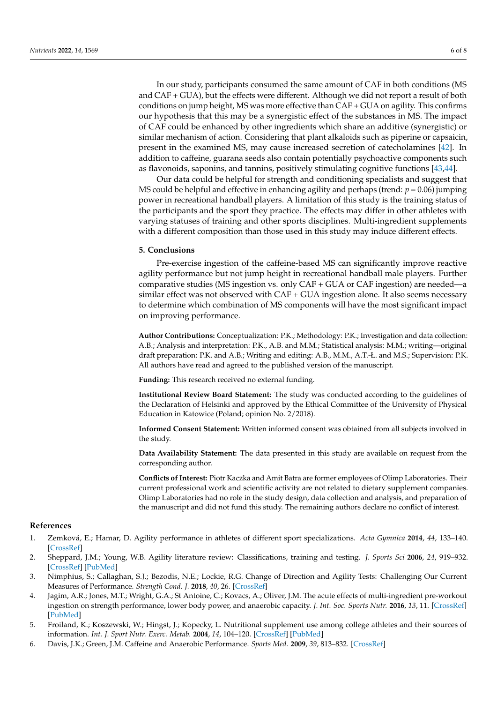In our study, participants consumed the same amount of CAF in both conditions (MS and CAF + GUA), but the effects were different. Although we did not report a result of both conditions on jump height, MS was more effective than CAF + GUA on agility. This confirms our hypothesis that this may be a synergistic effect of the substances in MS. The impact of CAF could be enhanced by other ingredients which share an additive (synergistic) or similar mechanism of action. Considering that plant alkaloids such as piperine or capsaicin, present in the examined MS, may cause increased secretion of catecholamines [\[42\]](#page-7-6). In addition to caffeine, guarana seeds also contain potentially psychoactive components such as flavonoids, saponins, and tannins, positively stimulating cognitive functions [\[43,](#page-7-7)[44\]](#page-7-8).

Our data could be helpful for strength and conditioning specialists and suggest that MS could be helpful and effective in enhancing agility and perhaps (trend: *p* = 0.06) jumping power in recreational handball players. A limitation of this study is the training status of the participants and the sport they practice. The effects may differ in other athletes with varying statuses of training and other sports disciplines. Multi-ingredient supplements with a different composition than those used in this study may induce different effects.

#### **5. Conclusions**

Pre-exercise ingestion of the caffeine-based MS can significantly improve reactive agility performance but not jump height in recreational handball male players. Further comparative studies (MS ingestion vs. only CAF + GUA or CAF ingestion) are needed—a similar effect was not observed with CAF + GUA ingestion alone. It also seems necessary to determine which combination of MS components will have the most significant impact on improving performance.

**Author Contributions:** Conceptualization: P.K.; Methodology: P.K.; Investigation and data collection: A.B.; Analysis and interpretation: P.K., A.B. and M.M.; Statistical analysis: M.M.; writing—original draft preparation: P.K. and A.B.; Writing and editing: A.B., M.M., A.T.-Ł. and M.S.; Supervision: P.K. All authors have read and agreed to the published version of the manuscript.

**Funding:** This research received no external funding.

**Institutional Review Board Statement:** The study was conducted according to the guidelines of the Declaration of Helsinki and approved by the Ethical Committee of the University of Physical Education in Katowice (Poland; opinion No. 2/2018).

**Informed Consent Statement:** Written informed consent was obtained from all subjects involved in the study.

**Data Availability Statement:** The data presented in this study are available on request from the corresponding author.

**Conflicts of Interest:** Piotr Kaczka and Amit Batra are former employees of Olimp Laboratories. Their current professional work and scientific activity are not related to dietary supplement companies. Olimp Laboratories had no role in the study design, data collection and analysis, and preparation of the manuscript and did not fund this study. The remaining authors declare no conflict of interest.

#### **References**

- <span id="page-5-0"></span>1. Zemková, E.; Hamar, D. Agility performance in athletes of different sport specializations. *Acta Gymnica* **2014**, *44*, 133–140. [\[CrossRef\]](http://doi.org/10.5507/ag.2014.013)
- <span id="page-5-1"></span>2. Sheppard, J.M.; Young, W.B. Agility literature review: Classifications, training and testing. *J. Sports Sci* **2006**, *24*, 919–932. [\[CrossRef\]](http://doi.org/10.1080/02640410500457109) [\[PubMed\]](http://www.ncbi.nlm.nih.gov/pubmed/16882626)
- <span id="page-5-2"></span>3. Nimphius, S.; Callaghan, S.J.; Bezodis, N.E.; Lockie, R.G. Change of Direction and Agility Tests: Challenging Our Current Measures of Performance. *Strength Cond. J.* **2018**, *40*, 26. [\[CrossRef\]](http://doi.org/10.1519/SSC.0000000000000309)
- <span id="page-5-3"></span>4. Jagim, A.R.; Jones, M.T.; Wright, G.A.; St Antoine, C.; Kovacs, A.; Oliver, J.M. The acute effects of multi-ingredient pre-workout ingestion on strength performance, lower body power, and anaerobic capacity. *J. Int. Soc. Sports Nutr.* **2016**, *13*, 11. [\[CrossRef\]](http://doi.org/10.1186/s12970-016-0122-2) [\[PubMed\]](http://www.ncbi.nlm.nih.gov/pubmed/26962303)
- <span id="page-5-4"></span>5. Froiland, K.; Koszewski, W.; Hingst, J.; Kopecky, L. Nutritional supplement use among college athletes and their sources of information. *Int. J. Sport Nutr. Exerc. Metab.* **2004**, *14*, 104–120. [\[CrossRef\]](http://doi.org/10.1123/ijsnem.14.1.104) [\[PubMed\]](http://www.ncbi.nlm.nih.gov/pubmed/15129934)
- <span id="page-5-5"></span>6. Davis, J.K.; Green, J.M. Caffeine and Anaerobic Performance. *Sports Med.* **2009**, *39*, 813–832. [\[CrossRef\]](http://doi.org/10.2165/11317770-000000000-00000)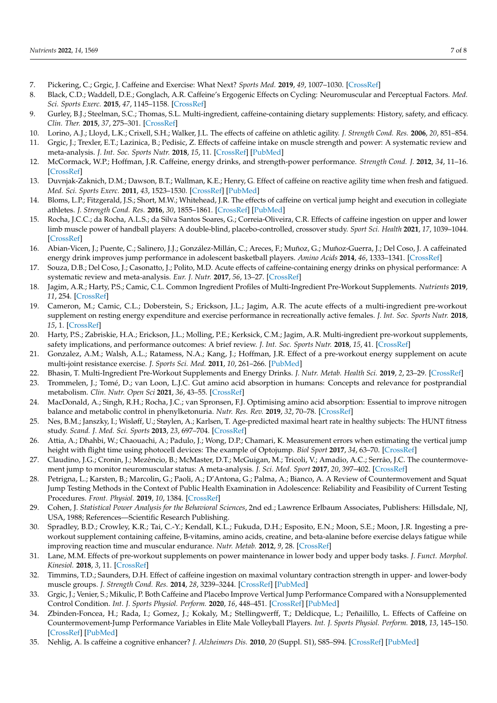- 7. Pickering, C.; Grgic, J. Caffeine and Exercise: What Next? *Sports Med.* **2019**, *49*, 1007–1030. [\[CrossRef\]](http://doi.org/10.1007/s40279-019-01101-0)
- 8. Black, C.D.; Waddell, D.E.; Gonglach, A.R. Caffeine's Ergogenic Effects on Cycling: Neuromuscular and Perceptual Factors. *Med. Sci. Sports Exerc.* **2015**, *47*, 1145–1158. [\[CrossRef\]](http://doi.org/10.1249/MSS.0000000000000513)
- <span id="page-6-0"></span>9. Gurley, B.J.; Steelman, S.C.; Thomas, S.L. Multi-ingredient, caffeine-containing dietary supplements: History, safety, and efficacy. *Clin. Ther.* **2015**, *37*, 275–301. [\[CrossRef\]](http://doi.org/10.1016/j.clinthera.2014.08.012)
- <span id="page-6-1"></span>10. Lorino, A.J.; Lloyd, L.K.; Crixell, S.H.; Walker, J.L. The effects of caffeine on athletic agility. *J. Strength Cond. Res.* **2006**, *20*, 851–854.
- <span id="page-6-2"></span>11. Grgic, J.; Trexler, E.T.; Lazinica, B.; Pedisic, Z. Effects of caffeine intake on muscle strength and power: A systematic review and meta-analysis. *J. Int. Soc. Sports Nutr.* **2018**, *15*, 11. [\[CrossRef\]](http://doi.org/10.1186/s12970-018-0216-0) [\[PubMed\]](http://www.ncbi.nlm.nih.gov/pubmed/29527137)
- <span id="page-6-3"></span>12. McCormack, W.P.; Hoffman, J.R. Caffeine, energy drinks, and strength-power performance. *Strength Cond. J.* **2012**, *34*, 11–16. [\[CrossRef\]](http://doi.org/10.1519/SSC.0b013e31825f4d7e)
- <span id="page-6-4"></span>13. Duvnjak-Zaknich, D.M.; Dawson, B.T.; Wallman, K.E.; Henry, G. Effect of caffeine on reactive agility time when fresh and fatigued. *Med. Sci. Sports Exerc.* **2011**, *43*, 1523–1530. [\[CrossRef\]](http://doi.org/10.1249/MSS.0b013e31821048ab) [\[PubMed\]](http://www.ncbi.nlm.nih.gov/pubmed/21266929)
- <span id="page-6-5"></span>14. Bloms, L.P.; Fitzgerald, J.S.; Short, M.W.; Whitehead, J.R. The effects of caffeine on vertical jump height and execution in collegiate athletes. *J. Strength Cond. Res.* **2016**, *30*, 1855–1861. [\[CrossRef\]](http://doi.org/10.1519/JSC.0000000000001280) [\[PubMed\]](http://www.ncbi.nlm.nih.gov/pubmed/26626028)
- <span id="page-6-6"></span>15. Rocha, J.C.C.; da Rocha, A.L.S.; da Silva Santos Soares, G.; Correia-Oliveira, C.R. Effects of caffeine ingestion on upper and lower limb muscle power of handball players: A double-blind, placebo-controlled, crossover study. *Sport Sci. Health* **2021**, *17*, 1039–1044. [\[CrossRef\]](http://doi.org/10.1007/s11332-021-00803-1)
- <span id="page-6-7"></span>16. Abian-Vicen, J.; Puente, C.; Salinero, J.J.; González-Millán, C.; Areces, F.; Muñoz, G.; Muñoz-Guerra, J.; Del Coso, J. A caffeinated energy drink improves jump performance in adolescent basketball players. *Amino Acids* **2014**, *46*, 1333–1341. [\[CrossRef\]](http://doi.org/10.1007/s00726-014-1702-6)
- <span id="page-6-8"></span>17. Souza, D.B.; Del Coso, J.; Casonatto, J.; Polito, M.D. Acute effects of caffeine-containing energy drinks on physical performance: A systematic review and meta-analysis. *Eur. J. Nutr.* **2017**, *56*, 13–27. [\[CrossRef\]](http://doi.org/10.1007/s00394-016-1331-9)
- <span id="page-6-9"></span>18. Jagim, A.R.; Harty, P.S.; Camic, C.L. Common Ingredient Profiles of Multi-Ingredient Pre-Workout Supplements. *Nutrients* **2019**, *11*, 254. [\[CrossRef\]](http://doi.org/10.3390/nu11020254)
- <span id="page-6-10"></span>19. Cameron, M.; Camic, C.L.; Doberstein, S.; Erickson, J.L.; Jagim, A.R. The acute effects of a multi-ingredient pre-workout supplement on resting energy expenditure and exercise performance in recreationally active females. *J. Int. Soc. Sports Nutr.* **2018**, *15*, 1. [\[CrossRef\]](http://doi.org/10.1186/s12970-017-0206-7)
- <span id="page-6-11"></span>20. Harty, P.S.; Zabriskie, H.A.; Erickson, J.L.; Molling, P.E.; Kerksick, C.M.; Jagim, A.R. Multi-ingredient pre-workout supplements, safety implications, and performance outcomes: A brief review. *J. Int. Soc. Sports Nutr.* **2018**, *15*, 41. [\[CrossRef\]](http://doi.org/10.1186/s12970-018-0247-6)
- 21. Gonzalez, A.M.; Walsh, A.L.; Ratamess, N.A.; Kang, J.; Hoffman, J.R. Effect of a pre-workout energy supplement on acute multi-joint resistance exercise. *J. Sports Sci. Med.* **2011**, *10*, 261–266. [\[PubMed\]](http://www.ncbi.nlm.nih.gov/pubmed/24149870)
- <span id="page-6-12"></span>22. Bhasin, T. Multi-Ingredient Pre-Workout Supplements and Energy Drinks. *J. Nutr. Metab. Health Sci.* **2019**, *2*, 23–29. [\[CrossRef\]](http://doi.org/10.18231/j.ijnmhs.2019.006)
- <span id="page-6-13"></span>23. Trommelen, J.; Tomé, D.; van Loon, L.J.C. Gut amino acid absorption in humans: Concepts and relevance for postprandial metabolism. *Clin. Nutr. Open Sci* **2021**, *36*, 43–55. [\[CrossRef\]](http://doi.org/10.1016/j.nutos.2020.12.006)
- <span id="page-6-14"></span>24. MacDonald, A.; Singh, R.H.; Rocha, J.C.; van Spronsen, F.J. Optimising amino acid absorption: Essential to improve nitrogen balance and metabolic control in phenylketonuria. *Nutr. Res. Rev.* **2019**, *32*, 70–78. [\[CrossRef\]](http://doi.org/10.1017/S0954422418000173)
- <span id="page-6-15"></span>25. Nes, B.M.; Janszky, I.; Wisløff, U.; Støylen, A.; Karlsen, T. Age-predicted maximal heart rate in healthy subjects: The HUNT fitness study. *Scand. J. Med. Sci. Sports* **2013**, *23*, 697–704. [\[CrossRef\]](http://doi.org/10.1111/j.1600-0838.2012.01445.x)
- <span id="page-6-16"></span>26. Attia, A.; Dhahbi, W.; Chaouachi, A.; Padulo, J.; Wong, D.P.; Chamari, K. Measurement errors when estimating the vertical jump height with flight time using photocell devices: The example of Optojump. *Biol Sport* **2017**, *34*, 63–70. [\[CrossRef\]](http://doi.org/10.5114/biolsport.2017.63735)
- 27. Claudino, J.G.; Cronin, J.; Mezêncio, B.; McMaster, D.T.; McGuigan, M.; Tricoli, V.; Amadio, A.C.; Serrão, J.C. The countermovement jump to monitor neuromuscular status: A meta-analysis. *J. Sci. Med. Sport* **2017**, *20*, 397–402. [\[CrossRef\]](http://doi.org/10.1016/j.jsams.2016.08.011)
- <span id="page-6-17"></span>28. Petrigna, L.; Karsten, B.; Marcolin, G.; Paoli, A.; D'Antona, G.; Palma, A.; Bianco, A. A Review of Countermovement and Squat Jump Testing Methods in the Context of Public Health Examination in Adolescence: Reliability and Feasibility of Current Testing Procedures. *Front. Physiol.* **2019**, *10*, 1384. [\[CrossRef\]](http://doi.org/10.3389/fphys.2019.01384)
- <span id="page-6-18"></span>29. Cohen, J. *Statistical Power Analysis for the Behavioral Sciences*, 2nd ed.; Lawrence Erlbaum Associates, Publishers: Hillsdale, NJ, USA, 1988; References—Scientific Research Publishing.
- <span id="page-6-19"></span>30. Spradley, B.D.; Crowley, K.R.; Tai, C.-Y.; Kendall, K.L.; Fukuda, D.H.; Esposito, E.N.; Moon, S.E.; Moon, J.R. Ingesting a preworkout supplement containing caffeine, B-vitamins, amino acids, creatine, and beta-alanine before exercise delays fatigue while improving reaction time and muscular endurance. *Nutr. Metab.* **2012**, *9*, 28. [\[CrossRef\]](http://doi.org/10.1186/1743-7075-9-28)
- <span id="page-6-20"></span>31. Lane, M.M. Effects of pre-workout supplements on power maintenance in lower body and upper body tasks. *J. Funct. Morphol. Kinesiol.* **2018**, *3*, 11. [\[CrossRef\]](http://doi.org/10.3390/jfmk3010011)
- <span id="page-6-21"></span>32. Timmins, T.D.; Saunders, D.H. Effect of caffeine ingestion on maximal voluntary contraction strength in upper- and lower-body muscle groups. *J. Strength Cond. Res.* **2014**, *28*, 3239–3244. [\[CrossRef\]](http://doi.org/10.1519/JSC.0000000000000447) [\[PubMed\]](http://www.ncbi.nlm.nih.gov/pubmed/25144133)
- <span id="page-6-22"></span>33. Grgic, J.; Venier, S.; Mikulic, P. Both Caffeine and Placebo Improve Vertical Jump Performance Compared with a Nonsupplemented Control Condition. *Int. J. Sports Physiol. Perform.* **2020**, *16*, 448–451. [\[CrossRef\]](http://doi.org/10.1123/ijspp.2019-1028) [\[PubMed\]](http://www.ncbi.nlm.nih.gov/pubmed/32707561)
- <span id="page-6-23"></span>34. Zbinden-Foncea, H.; Rada, I.; Gomez, J.; Kokaly, M.; Stellingwerff, T.; Deldicque, L.; Peñailillo, L. Effects of Caffeine on Countermovement-Jump Performance Variables in Elite Male Volleyball Players. *Int. J. Sports Physiol. Perform.* **2018**, *13*, 145–150. [\[CrossRef\]](http://doi.org/10.1123/ijspp.2016-0705) [\[PubMed\]](http://www.ncbi.nlm.nih.gov/pubmed/28488924)
- <span id="page-6-24"></span>35. Nehlig, A. Is caffeine a cognitive enhancer? *J. Alzheimers Dis.* **2010**, *20* (Suppl. S1), S85–S94. [\[CrossRef\]](http://doi.org/10.3233/JAD-2010-091315) [\[PubMed\]](http://www.ncbi.nlm.nih.gov/pubmed/20182035)